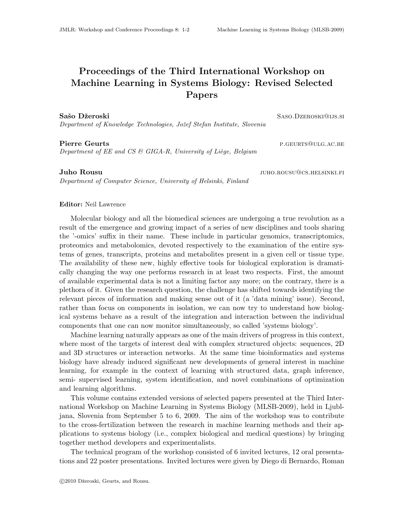## Proceedings of the Third International Workshop on Machine Learning in Systems Biology: Revised Selected Papers

Sašo Džeroski Saso.Dzeroski Saso.Dzeroski Saso.Dzeroski Saso.Dzeroski Saso.Dzeroski Saso.Dzeroski Sa Department of Knowledge Technologies, Jožef Stefan Institute, Slovenia

Pierre Geurts **p.g. 2018** P.GEURTS **QULG.AC.BE** 

Department of EE and CS & GIGA-R, University of Liège, Belgium

Department of Computer Science, University of Helsinki, Finland

Juho Rousu juho.rousu@cs.helsinki.fi

## Editor: Neil Lawrence

Molecular biology and all the biomedical sciences are undergoing a true revolution as a result of the emergence and growing impact of a series of new disciplines and tools sharing the '-omics' suffix in their name. These include in particular genomics, transcriptomics, proteomics and metabolomics, devoted respectively to the examination of the entire systems of genes, transcripts, proteins and metabolites present in a given cell or tissue type. The availability of these new, highly effective tools for biological exploration is dramatically changing the way one performs research in at least two respects. First, the amount of available experimental data is not a limiting factor any more; on the contrary, there is a plethora of it. Given the research question, the challenge has shifted towards identifying the relevant pieces of information and making sense out of it (a 'data mining' issue). Second, rather than focus on components in isolation, we can now try to understand how biological systems behave as a result of the integration and interaction between the individual components that one can now monitor simultaneously, so called 'systems biology'.

Machine learning naturally appears as one of the main drivers of progress in this context, where most of the targets of interest deal with complex structured objects: sequences, 2D and 3D structures or interaction networks. At the same time bioinformatics and systems biology have already induced significant new developments of general interest in machine learning, for example in the context of learning with structured data, graph inference, semi- supervised learning, system identification, and novel combinations of optimization and learning algorithms.

This volume contains extended versions of selected papers presented at the Third International Workshop on Machine Learning in Systems Biology (MLSB-2009), held in Ljubljana, Slovenia from September 5 to 6, 2009. The aim of the workshop was to contribute to the cross-fertilization between the research in machine learning methods and their applications to systems biology (i.e., complex biological and medical questions) by bringing together method developers and experimentalists.

The technical program of the workshop consisted of 6 invited lectures, 12 oral presentations and 22 poster presentations. Invited lectures were given by Diego di Bernardo, Roman